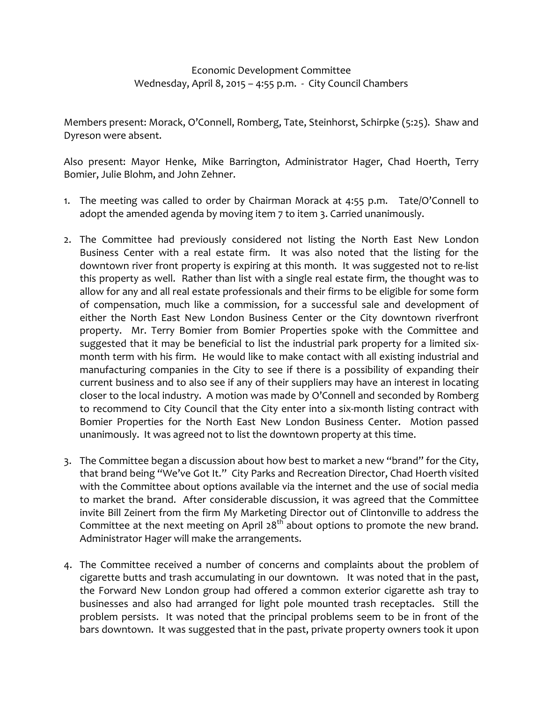## Economic Development Committee Wednesday, April 8, 2015 - 4:55 p.m. - City Council Chambers

Members present: Morack, O'Connell, Romberg, Tate, Steinhorst, Schirpke (5:25). Shaw and Dyreson were absent.

Also present: Mayor Henke, Mike Barrington, Administrator Hager, Chad Hoerth, Terry Bomier, Julie Blohm, and John Zehner.

- 1. The meeting was called to order by Chairman Morack at 4:55 p.m. Tate/O'Connell to adopt the amended agenda by moving item 7 to item 3. Carried unanimously.
- 2. The Committee had previously considered not listing the North East New London Business Center with a real estate firm. It was also noted that the listing for the downtown river front property is expiring at this month. It was suggested not to re‐list this property as well. Rather than list with a single real estate firm, the thought was to allow for any and all real estate professionals and their firms to be eligible for some form of compensation, much like a commission, for a successful sale and development of either the North East New London Business Center or the City downtown riverfront property. Mr. Terry Bomier from Bomier Properties spoke with the Committee and suggested that it may be beneficial to list the industrial park property for a limited six‐ month term with his firm. He would like to make contact with all existing industrial and manufacturing companies in the City to see if there is a possibility of expanding their current business and to also see if any of their suppliers may have an interest in locating closer to the local industry. A motion was made by O'Connell and seconded by Romberg to recommend to City Council that the City enter into a six‐month listing contract with Bomier Properties for the North East New London Business Center. Motion passed unanimously. It was agreed not to list the downtown property at this time.
- 3. The Committee began a discussion about how best to market a new "brand" for the City, that brand being "We've Got It." City Parks and Recreation Director, Chad Hoerth visited with the Committee about options available via the internet and the use of social media to market the brand. After considerable discussion, it was agreed that the Committee invite Bill Zeinert from the firm My Marketing Director out of Clintonville to address the Committee at the next meeting on April  $28^{th}$  about options to promote the new brand. Administrator Hager will make the arrangements.
- 4. The Committee received a number of concerns and complaints about the problem of cigarette butts and trash accumulating in our downtown. It was noted that in the past, the Forward New London group had offered a common exterior cigarette ash tray to businesses and also had arranged for light pole mounted trash receptacles. Still the problem persists. It was noted that the principal problems seem to be in front of the bars downtown. It was suggested that in the past, private property owners took it upon